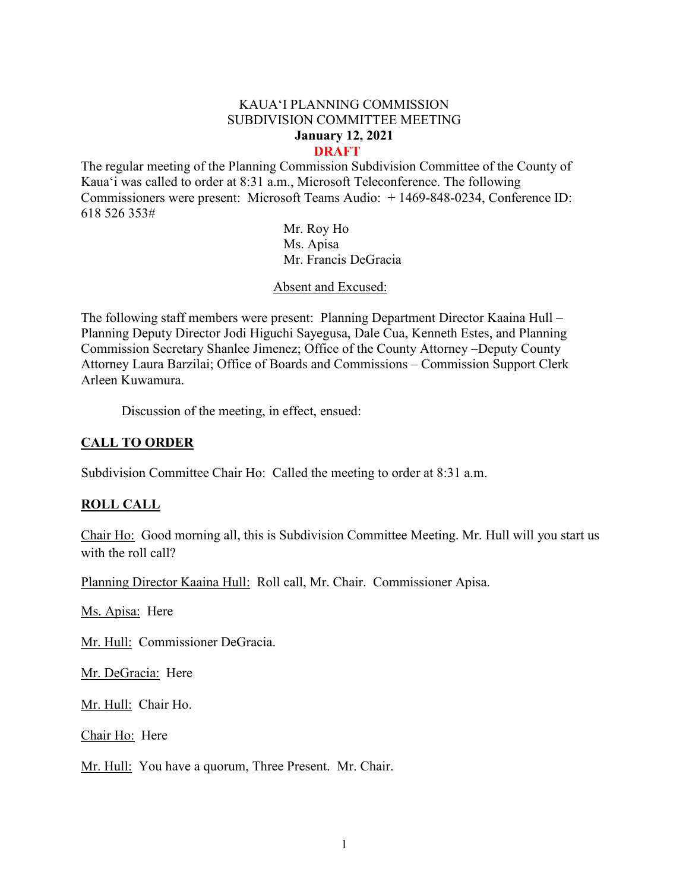#### KAUA'I PLANNING COMMISSION SUBDIVISION COMMITTEE MEETING **January 12, 2021 DRAFT**

The regular meeting of the Planning Commission Subdivision Committee of the County of Kaua'i was called to order at 8:31 a.m., Microsoft Teleconference. The following Commissioners were present: Microsoft Teams Audio: + 1469-848-0234, Conference ID: 618 526 353#

> Mr. Roy Ho Ms. Apisa Mr. Francis DeGracia

Absent and Excused:

The following staff members were present: Planning Department Director Kaaina Hull – Planning Deputy Director Jodi Higuchi Sayegusa, Dale Cua, Kenneth Estes, and Planning Commission Secretary Shanlee Jimenez; Office of the County Attorney –Deputy County Attorney Laura Barzilai; Office of Boards and Commissions – Commission Support Clerk Arleen Kuwamura.

Discussion of the meeting, in effect, ensued:

## **CALL TO ORDER**

Subdivision Committee Chair Ho: Called the meeting to order at 8:31 a.m.

## **ROLL CALL**

Chair Ho: Good morning all, this is Subdivision Committee Meeting. Mr. Hull will you start us with the roll call?

Planning Director Kaaina Hull: Roll call, Mr. Chair. Commissioner Apisa.

Ms. Apisa: Here

Mr. Hull: Commissioner DeGracia.

Mr. DeGracia: Here

Mr. Hull: Chair Ho.

Chair Ho: Here

Mr. Hull: You have a quorum, Three Present. Mr. Chair.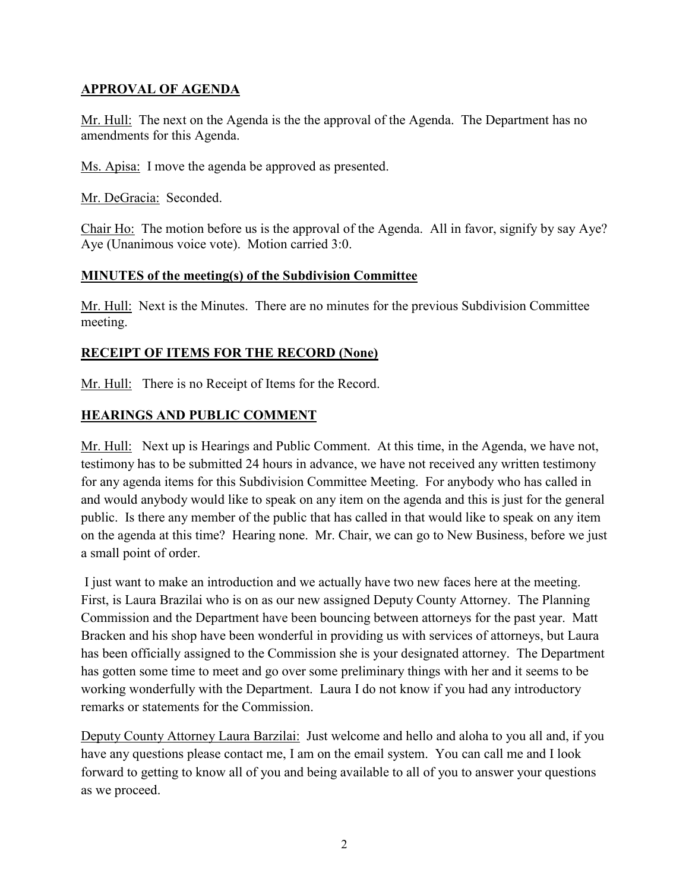## **APPROVAL OF AGENDA**

Mr. Hull: The next on the Agenda is the the approval of the Agenda. The Department has no amendments for this Agenda.

Ms. Apisa: I move the agenda be approved as presented.

Mr. DeGracia: Seconded.

Chair Ho: The motion before us is the approval of the Agenda. All in favor, signify by say Aye? Aye (Unanimous voice vote). Motion carried 3:0.

## **MINUTES of the meeting(s) of the Subdivision Committee**

Mr. Hull: Next is the Minutes. There are no minutes for the previous Subdivision Committee meeting.

# **RECEIPT OF ITEMS FOR THE RECORD (None)**

Mr. Hull: There is no Receipt of Items for the Record.

# **HEARINGS AND PUBLIC COMMENT**

Mr. Hull: Next up is Hearings and Public Comment. At this time, in the Agenda, we have not, testimony has to be submitted 24 hours in advance, we have not received any written testimony for any agenda items for this Subdivision Committee Meeting. For anybody who has called in and would anybody would like to speak on any item on the agenda and this is just for the general public. Is there any member of the public that has called in that would like to speak on any item on the agenda at this time? Hearing none. Mr. Chair, we can go to New Business, before we just a small point of order.

I just want to make an introduction and we actually have two new faces here at the meeting. First, is Laura Brazilai who is on as our new assigned Deputy County Attorney. The Planning Commission and the Department have been bouncing between attorneys for the past year. Matt Bracken and his shop have been wonderful in providing us with services of attorneys, but Laura has been officially assigned to the Commission she is your designated attorney. The Department has gotten some time to meet and go over some preliminary things with her and it seems to be working wonderfully with the Department. Laura I do not know if you had any introductory remarks or statements for the Commission.

Deputy County Attorney Laura Barzilai: Just welcome and hello and aloha to you all and, if you have any questions please contact me, I am on the email system. You can call me and I look forward to getting to know all of you and being available to all of you to answer your questions as we proceed.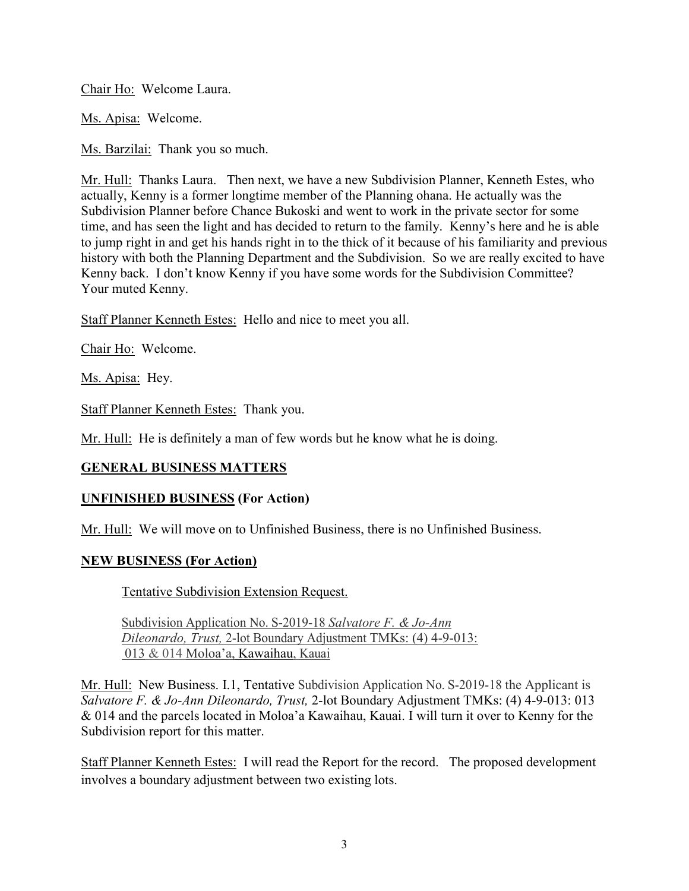Chair Ho: Welcome Laura.

Ms. Apisa: Welcome.

Ms. Barzilai: Thank you so much.

Mr. Hull: Thanks Laura. Then next, we have a new Subdivision Planner, Kenneth Estes, who actually, Kenny is a former longtime member of the Planning ohana. He actually was the Subdivision Planner before Chance Bukoski and went to work in the private sector for some time, and has seen the light and has decided to return to the family. Kenny's here and he is able to jump right in and get his hands right in to the thick of it because of his familiarity and previous history with both the Planning Department and the Subdivision. So we are really excited to have Kenny back. I don't know Kenny if you have some words for the Subdivision Committee? Your muted Kenny.

Staff Planner Kenneth Estes: Hello and nice to meet you all.

Chair Ho: Welcome.

Ms. Apisa: Hey.

Staff Planner Kenneth Estes: Thank you.

Mr. Hull: He is definitely a man of few words but he know what he is doing.

## **GENERAL BUSINESS MATTERS**

## **UNFINISHED BUSINESS (For Action)**

Mr. Hull: We will move on to Unfinished Business, there is no Unfinished Business.

### **NEW BUSINESS (For Action)**

Tentative Subdivision Extension Request.

Subdivision Application No. S-2019-18 *Salvatore F. & Jo-Ann Dileonardo, Trust,* 2-lot Boundary Adjustment TMKs: (4) 4-9-013: 013 & 014 Moloa'a, Kawaihau, Kauai

Mr. Hull: New Business. I.1, Tentative Subdivision Application No. S-2019-18 the Applicant is *Salvatore F. & Jo-Ann Dileonardo, Trust,* 2-lot Boundary Adjustment TMKs: (4) 4-9-013: 013 & 014 and the parcels located in Moloa'a Kawaihau, Kauai. I will turn it over to Kenny for the Subdivision report for this matter.

Staff Planner Kenneth Estes: I will read the Report for the record. The proposed development involves a boundary adjustment between two existing lots.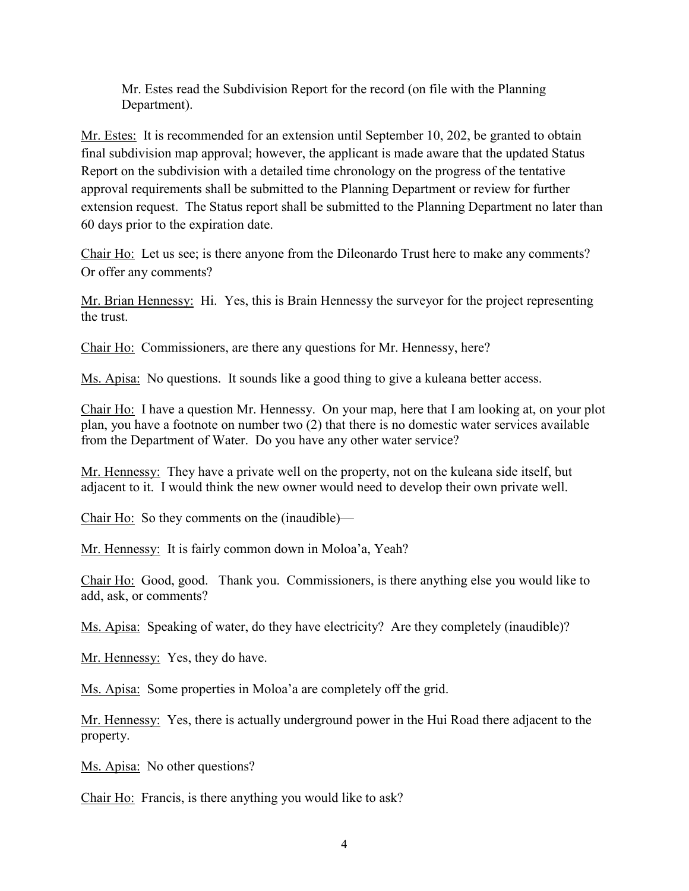Mr. Estes read the Subdivision Report for the record (on file with the Planning Department).

Mr. Estes: It is recommended for an extension until September 10, 202, be granted to obtain final subdivision map approval; however, the applicant is made aware that the updated Status Report on the subdivision with a detailed time chronology on the progress of the tentative approval requirements shall be submitted to the Planning Department or review for further extension request. The Status report shall be submitted to the Planning Department no later than 60 days prior to the expiration date.

Chair Ho: Let us see; is there anyone from the Dileonardo Trust here to make any comments? Or offer any comments?

Mr. Brian Hennessy: Hi. Yes, this is Brain Hennessy the surveyor for the project representing the trust.

Chair Ho: Commissioners, are there any questions for Mr. Hennessy, here?

Ms. Apisa: No questions. It sounds like a good thing to give a kuleana better access.

Chair Ho: I have a question Mr. Hennessy. On your map, here that I am looking at, on your plot plan, you have a footnote on number two (2) that there is no domestic water services available from the Department of Water. Do you have any other water service?

Mr. Hennessy: They have a private well on the property, not on the kuleana side itself, but adjacent to it. I would think the new owner would need to develop their own private well.

Chair Ho: So they comments on the (inaudible)—

Mr. Hennessy: It is fairly common down in Moloa'a, Yeah?

Chair Ho: Good, good. Thank you. Commissioners, is there anything else you would like to add, ask, or comments?

Ms. Apisa: Speaking of water, do they have electricity? Are they completely (inaudible)?

Mr. Hennessy: Yes, they do have.

Ms. Apisa: Some properties in Moloa'a are completely off the grid.

Mr. Hennessy: Yes, there is actually underground power in the Hui Road there adjacent to the property.

Ms. Apisa: No other questions?

Chair Ho: Francis, is there anything you would like to ask?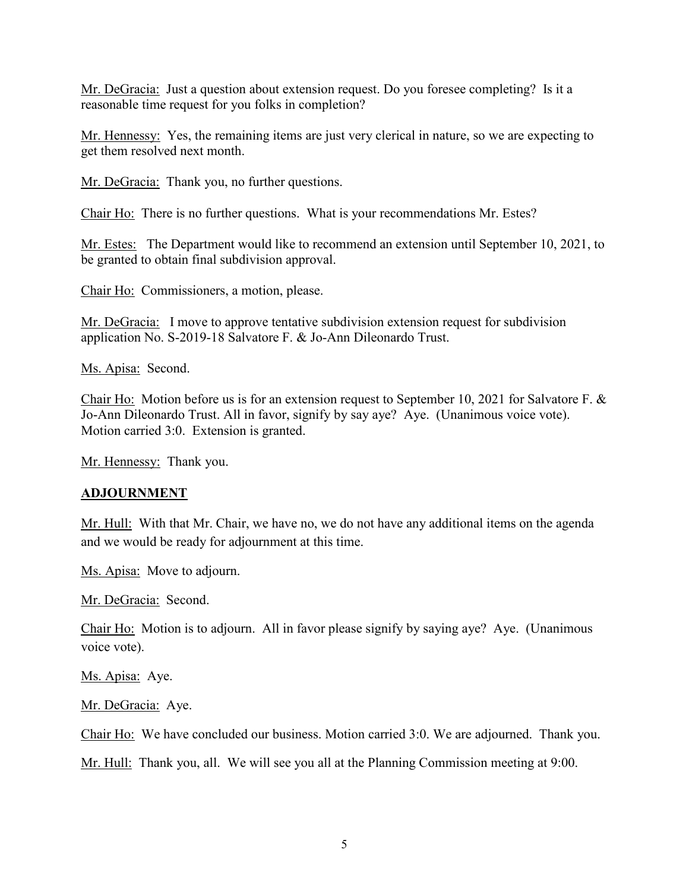Mr. DeGracia: Just a question about extension request. Do you foresee completing? Is it a reasonable time request for you folks in completion?

Mr. Hennessy: Yes, the remaining items are just very clerical in nature, so we are expecting to get them resolved next month.

Mr. DeGracia: Thank you, no further questions.

Chair Ho: There is no further questions. What is your recommendations Mr. Estes?

Mr. Estes: The Department would like to recommend an extension until September 10, 2021, to be granted to obtain final subdivision approval.

Chair Ho: Commissioners, a motion, please.

Mr. DeGracia: I move to approve tentative subdivision extension request for subdivision application No. S-2019-18 Salvatore F. & Jo-Ann Dileonardo Trust.

Ms. Apisa: Second.

Chair Ho: Motion before us is for an extension request to September 10, 2021 for Salvatore F. & Jo-Ann Dileonardo Trust. All in favor, signify by say aye? Aye. (Unanimous voice vote). Motion carried 3:0. Extension is granted.

Mr. Hennessy: Thank you.

### **ADJOURNMENT**

Mr. Hull: With that Mr. Chair, we have no, we do not have any additional items on the agenda and we would be ready for adjournment at this time.

Ms. Apisa: Move to adjourn.

Mr. DeGracia: Second.

Chair Ho: Motion is to adjourn. All in favor please signify by saying aye? Aye. (Unanimous voice vote).

Ms. Apisa: Aye.

Mr. DeGracia: Aye.

Chair Ho: We have concluded our business. Motion carried 3:0. We are adjourned. Thank you.

Mr. Hull: Thank you, all. We will see you all at the Planning Commission meeting at 9:00.